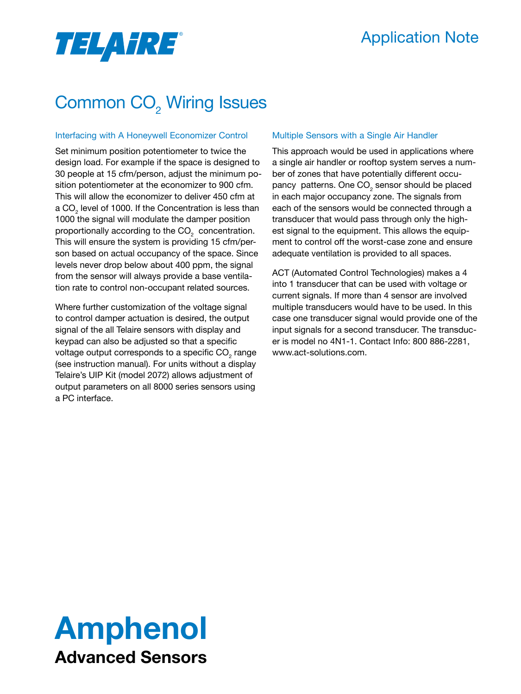## Application Note

# **TELAHRE**®

# Common CO<sub>2</sub> Wiring Issues

#### Interfacing with A Honeywell Economizer Control

Set minimum position potentiometer to twice the design load. For example if the space is designed to 30 people at 15 cfm/person, adjust the minimum position potentiometer at the economizer to 900 cfm. This will allow the economizer to deliver 450 cfm at a CO $_{\tiny 2}$  level of 1000. If the Concentration is less than 1000 the signal will modulate the damper position proportionally according to the CO $_{\text{2}}^{\text{}}$  concentration. This will ensure the system is providing 15 cfm/person based on actual occupancy of the space. Since levels never drop below about 400 ppm, the signal from the sensor will always provide a base ventilation rate to control non-occupant related sources.

Where further customization of the voltage signal to control damper actuation is desired, the output signal of the all Telaire sensors with display and keypad can also be adjusted so that a specific voltage output corresponds to a specific CO $_{_2}$  range (see instruction manual). For units without a display Telaire's UIP Kit (model 2072) allows adjustment of output parameters on all 8000 series sensors using a PC interface.

#### Multiple Sensors with a Single Air Handler

This approach would be used in applications where a single air handler or rooftop system serves a number of zones that have potentially different occupancy patterns. One CO<sub>2</sub> sensor should be placed in each major occupancy zone. The signals from each of the sensors would be connected through a transducer that would pass through only the highest signal to the equipment. This allows the equipment to control off the worst-case zone and ensure adequate ventilation is provided to all spaces.

ACT (Automated Control Technologies) makes a 4 into 1 transducer that can be used with voltage or current signals. If more than 4 sensor are involved multiple transducers would have to be used. In this case one transducer signal would provide one of the input signals for a second transducer. The transducer is model no 4N1-1. Contact Info: 800 886-2281, www.act-solutions.com.

# Amphenol Advanced Sensors